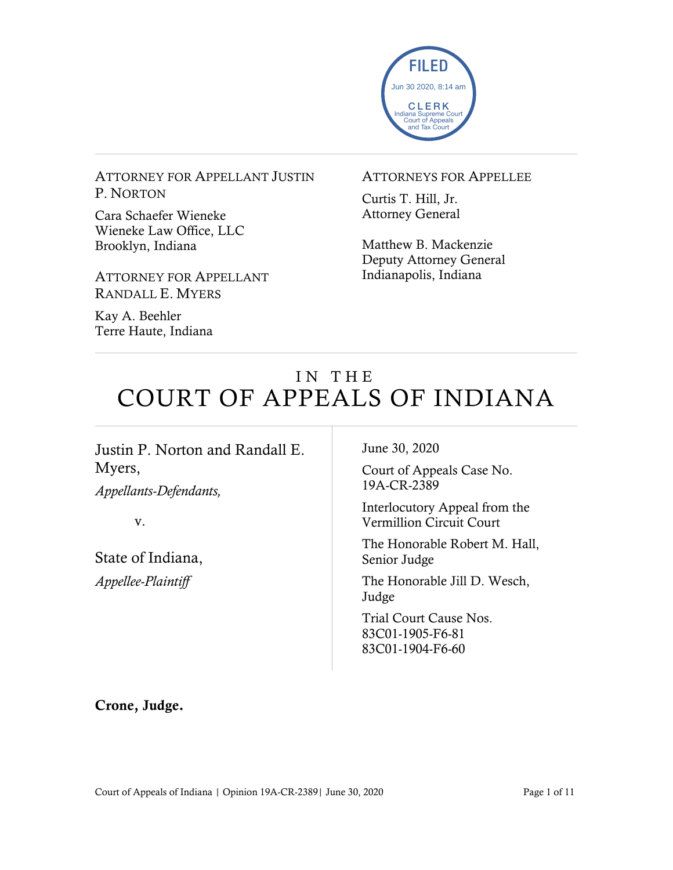

ATTORNEY FOR APPELLANT JUSTIN P. NORTON

Cara Schaefer Wieneke Wieneke Law Office, LLC Brooklyn, Indiana

ATTORNEY FOR APPELLANT RANDALL E. MYERS

Kay A. Beehler Terre Haute, Indiana

#### ATTORNEYS FOR APPELLEE

Curtis T. Hill, Jr. Attorney General

Matthew B. Mackenzie Deputy Attorney General Indianapolis, Indiana

# IN THE COURT OF APPEALS OF INDIANA

Justin P. Norton and Randall E. Myers,

*Appellants-Defendants,*

v.

State of Indiana, *Appellee-Plaintiff*

June 30, 2020

Court of Appeals Case No. 19A-CR-2389

Interlocutory Appeal from the Vermillion Circuit Court

The Honorable Robert M. Hall, Senior Judge

The Honorable Jill D. Wesch, Judge

Trial Court Cause Nos. 83C01-1905-F6-81 83C01-1904-F6-60

Crone, Judge.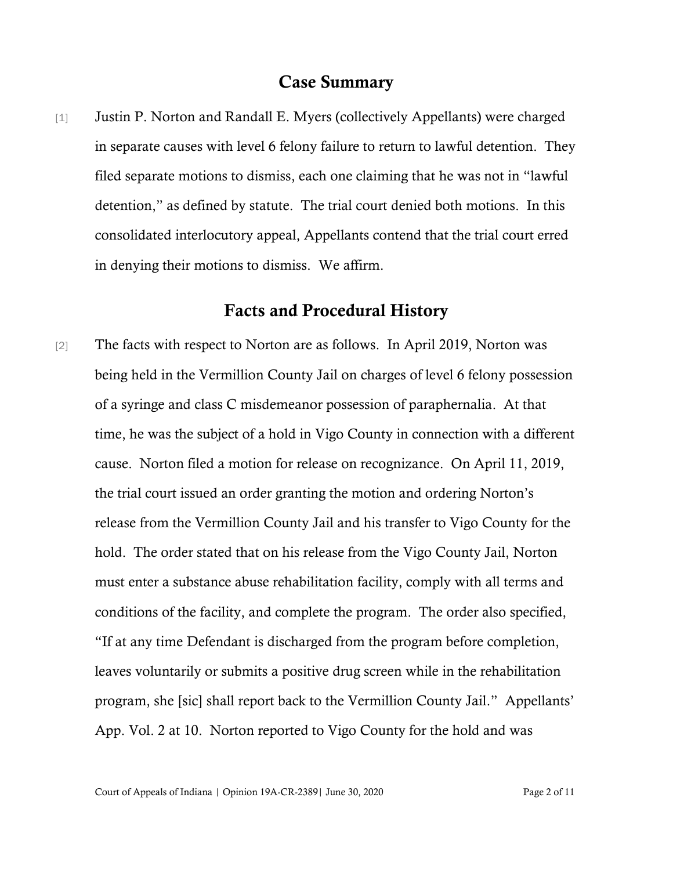## Case Summary

[1] Justin P. Norton and Randall E. Myers (collectively Appellants) were charged in separate causes with level 6 felony failure to return to lawful detention. They filed separate motions to dismiss, each one claiming that he was not in "lawful detention," as defined by statute. The trial court denied both motions. In this consolidated interlocutory appeal, Appellants contend that the trial court erred in denying their motions to dismiss. We affirm.

## Facts and Procedural History

[2] The facts with respect to Norton are as follows. In April 2019, Norton was being held in the Vermillion County Jail on charges of level 6 felony possession of a syringe and class C misdemeanor possession of paraphernalia. At that time, he was the subject of a hold in Vigo County in connection with a different cause. Norton filed a motion for release on recognizance. On April 11, 2019, the trial court issued an order granting the motion and ordering Norton's release from the Vermillion County Jail and his transfer to Vigo County for the hold. The order stated that on his release from the Vigo County Jail, Norton must enter a substance abuse rehabilitation facility, comply with all terms and conditions of the facility, and complete the program. The order also specified, "If at any time Defendant is discharged from the program before completion, leaves voluntarily or submits a positive drug screen while in the rehabilitation program, she [sic] shall report back to the Vermillion County Jail." Appellants' App. Vol. 2 at 10. Norton reported to Vigo County for the hold and was

Court of Appeals of Indiana | Opinion 19A-CR-2389| June 30, 2020 Page 2 of 11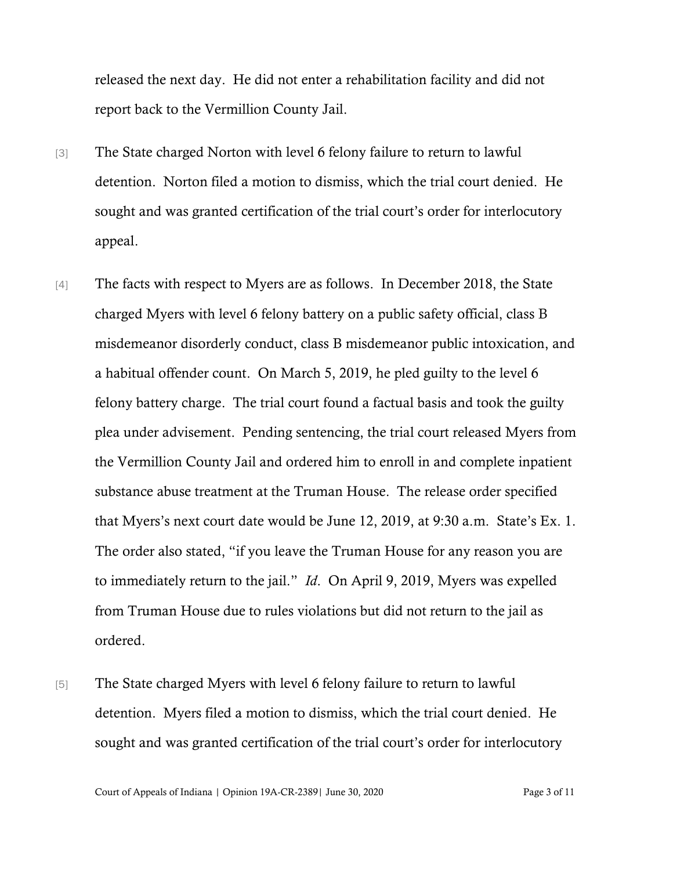released the next day. He did not enter a rehabilitation facility and did not report back to the Vermillion County Jail.

- [3] The State charged Norton with level 6 felony failure to return to lawful detention. Norton filed a motion to dismiss, which the trial court denied. He sought and was granted certification of the trial court's order for interlocutory appeal.
- [4] The facts with respect to Myers are as follows. In December 2018, the State charged Myers with level 6 felony battery on a public safety official, class B misdemeanor disorderly conduct, class B misdemeanor public intoxication, and a habitual offender count. On March 5, 2019, he pled guilty to the level 6 felony battery charge. The trial court found a factual basis and took the guilty plea under advisement. Pending sentencing, the trial court released Myers from the Vermillion County Jail and ordered him to enroll in and complete inpatient substance abuse treatment at the Truman House. The release order specified that Myers's next court date would be June 12, 2019, at 9:30 a.m. State's Ex. 1. The order also stated, "if you leave the Truman House for any reason you are to immediately return to the jail." *Id*. On April 9, 2019, Myers was expelled from Truman House due to rules violations but did not return to the jail as ordered.
- [5] The State charged Myers with level 6 felony failure to return to lawful detention. Myers filed a motion to dismiss, which the trial court denied. He sought and was granted certification of the trial court's order for interlocutory

Court of Appeals of Indiana | Opinion 19A-CR-2389| June 30, 2020 Page 3 of 11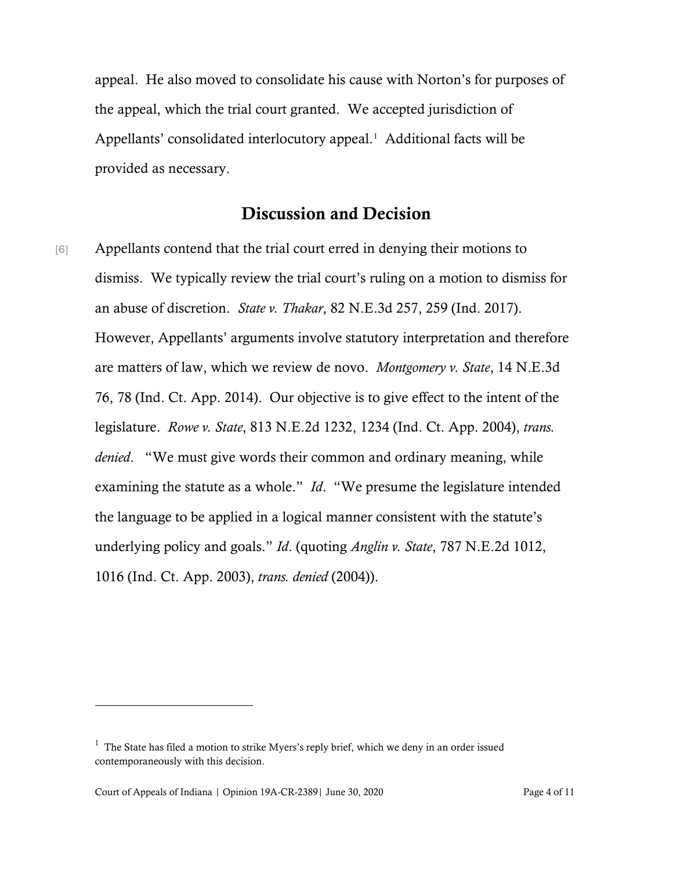appeal. He also moved to consolidate his cause with Norton's for purposes of the appeal, which the trial court granted. We accepted jurisdiction of Appellants' consolidated interlocutory appeal. [1](#page-3-0) Additional facts will be provided as necessary.

## Discussion and Decision

[6] Appellants contend that the trial court erred in denying their motions to dismiss. We typically review the trial court's ruling on a motion to dismiss for an abuse of discretion. *State v. Thakar*, 82 N.E.3d 257, 259 (Ind. 2017). However, Appellants' arguments involve statutory interpretation and therefore are matters of law, which we review de novo. *Montgomery v. State*, 14 N.E.3d 76, 78 (Ind. Ct. App. 2014). Our objective is to give effect to the intent of the legislature. *Rowe v. State*, 813 N.E.2d 1232, 1234 (Ind. Ct. App. 2004), *trans. denied*. "We must give words their common and ordinary meaning, while examining the statute as a whole." *Id*. "We presume the legislature intended the language to be applied in a logical manner consistent with the statute's underlying policy and goals." *Id*. (quoting *Anglin v. State*, 787 N.E.2d 1012, 1016 (Ind. Ct. App. 2003), *trans. denied* (2004)).

<span id="page-3-0"></span> $<sup>1</sup>$  The State has filed a motion to strike Myers's reply brief, which we deny in an order issued</sup> contemporaneously with this decision.

Court of Appeals of Indiana | Opinion 19A-CR-2389| June 30, 2020 Page 4 of 11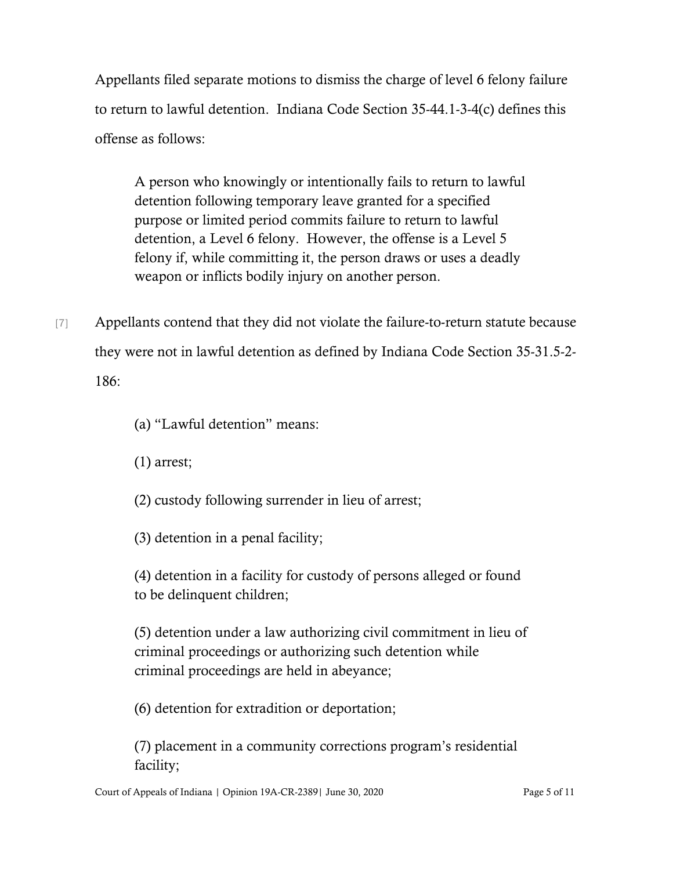Appellants filed separate motions to dismiss the charge of level 6 felony failure to return to lawful detention. Indiana Code Section 35-44.1-3-4(c) defines this offense as follows:

A person who knowingly or intentionally fails to return to lawful detention following temporary leave granted for a specified purpose or limited period commits failure to return to lawful detention, a Level 6 felony. However, the offense is a Level 5 felony if, while committing it, the person draws or uses a deadly weapon or inflicts bodily injury on another person.

[7] Appellants contend that they did not violate the failure-to-return statute because they were not in lawful detention as defined by Indiana Code Section 35-31.5-2- 186:

(a) "Lawful detention" means:

(1) arrest;

- (2) custody following surrender in lieu of arrest;
- (3) detention in a penal facility;

(4) detention in a facility for custody of persons alleged or found to be delinquent children;

(5) detention under a law authorizing civil commitment in lieu of criminal proceedings or authorizing such detention while criminal proceedings are held in abeyance;

(6) detention for extradition or deportation;

(7) placement in a community corrections program's residential facility;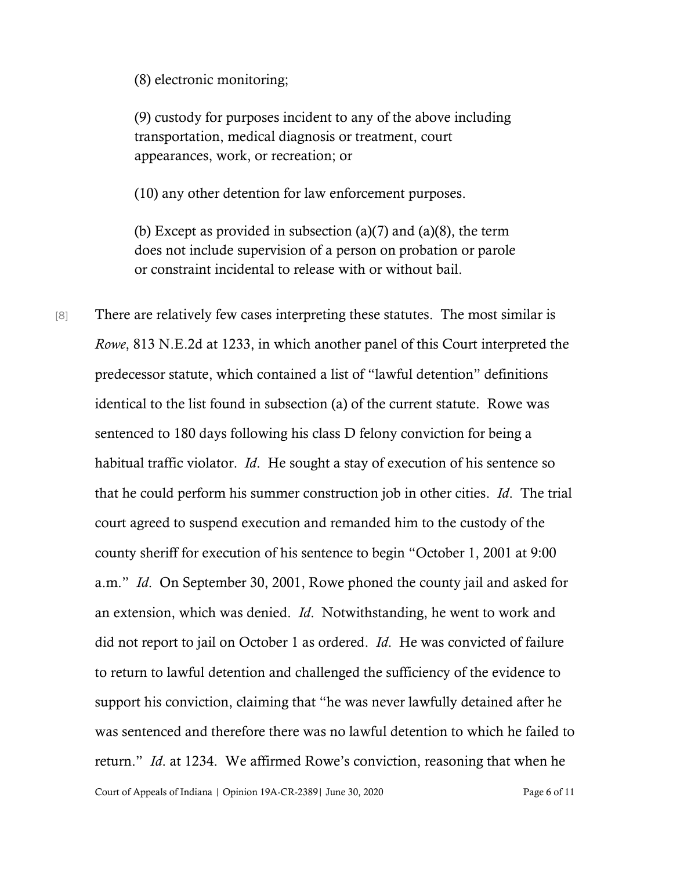(8) electronic monitoring;

(9) custody for purposes incident to any of the above including transportation, medical diagnosis or treatment, court appearances, work, or recreation; or

(10) any other detention for law enforcement purposes.

(b) Except as provided in subsection  $(a)(7)$  and  $(a)(8)$ , the term does not include supervision of a person on probation or parole or constraint incidental to release with or without bail.

[8] There are relatively few cases interpreting these statutes. The most similar is *Rowe*, 813 N.E.2d at 1233, in which another panel of this Court interpreted the predecessor statute, which contained a list of "lawful detention" definitions identical to the list found in subsection (a) of the current statute. Rowe was sentenced to 180 days following his class D felony conviction for being a habitual traffic violator. *Id*. He sought a stay of execution of his sentence so that he could perform his summer construction job in other cities. *Id*. The trial court agreed to suspend execution and remanded him to the custody of the county sheriff for execution of his sentence to begin "October 1, 2001 at 9:00 a.m." *Id*. On September 30, 2001, Rowe phoned the county jail and asked for an extension, which was denied. *Id*. Notwithstanding, he went to work and did not report to jail on October 1 as ordered. *Id*. He was convicted of failure to return to lawful detention and challenged the sufficiency of the evidence to support his conviction, claiming that "he was never lawfully detained after he was sentenced and therefore there was no lawful detention to which he failed to return." *Id*. at 1234. We affirmed Rowe's conviction, reasoning that when he

Court of Appeals of Indiana | Opinion 19A-CR-2389| June 30, 2020 Page 6 of 11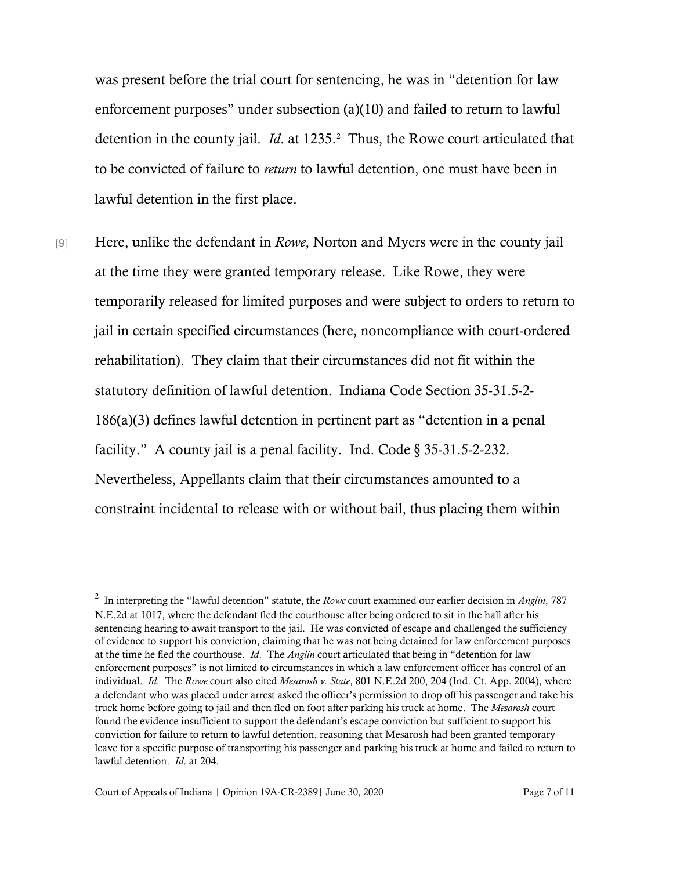was present before the trial court for sentencing, he was in "detention for law enforcement purposes" under subsection (a)(10) and failed to return to lawful detention in the county jail. *Id*. at 1235. [2](#page-6-0) Thus, the Rowe court articulated that to be convicted of failure to *return* to lawful detention, one must have been in lawful detention in the first place.

[9] Here, unlike the defendant in *Rowe*, Norton and Myers were in the county jail at the time they were granted temporary release. Like Rowe, they were temporarily released for limited purposes and were subject to orders to return to jail in certain specified circumstances (here, noncompliance with court-ordered rehabilitation). They claim that their circumstances did not fit within the statutory definition of lawful detention. Indiana Code Section 35-31.5-2- 186(a)(3) defines lawful detention in pertinent part as "detention in a penal facility." A county jail is a penal facility. Ind. Code § 35-31.5-2-232. Nevertheless, Appellants claim that their circumstances amounted to a constraint incidental to release with or without bail, thus placing them within

<span id="page-6-0"></span><sup>2</sup> In interpreting the "lawful detention" statute, the *Rowe* court examined our earlier decision in *Anglin*, 787 N.E.2d at 1017, where the defendant fled the courthouse after being ordered to sit in the hall after his sentencing hearing to await transport to the jail. He was convicted of escape and challenged the sufficiency of evidence to support his conviction, claiming that he was not being detained for law enforcement purposes at the time he fled the courthouse. *Id*. The *Anglin* court articulated that being in "detention for law enforcement purposes" is not limited to circumstances in which a law enforcement officer has control of an individual. *Id*. The *Rowe* court also cited *Mesarosh v. State*, 801 N.E.2d 200, 204 (Ind. Ct. App. 2004), where a defendant who was placed under arrest asked the officer's permission to drop off his passenger and take his truck home before going to jail and then fled on foot after parking his truck at home. The *Mesarosh* court found the evidence insufficient to support the defendant's escape conviction but sufficient to support his conviction for failure to return to lawful detention, reasoning that Mesarosh had been granted temporary leave for a specific purpose of transporting his passenger and parking his truck at home and failed to return to lawful detention. *Id*. at 204.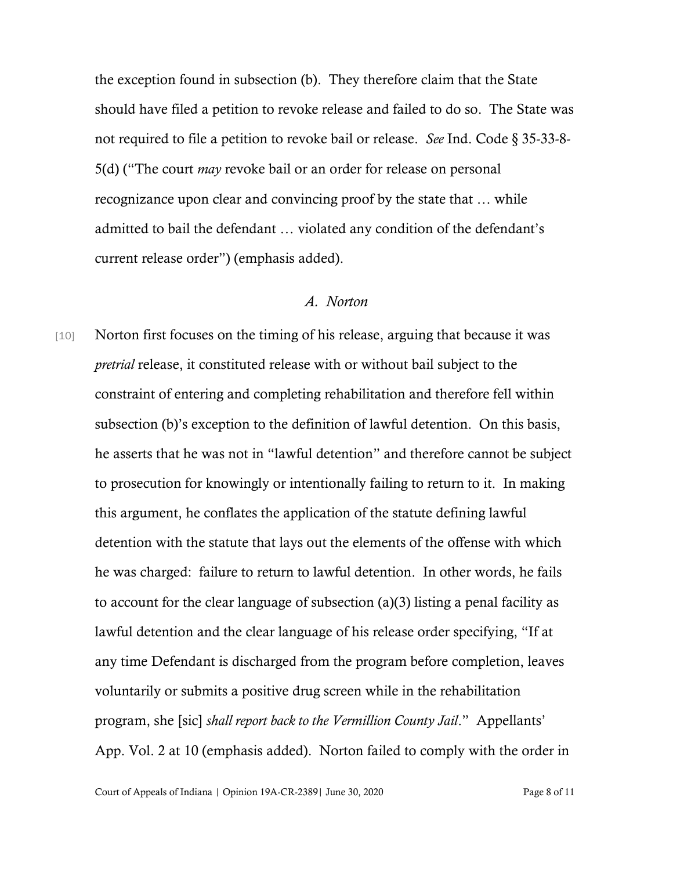the exception found in subsection (b). They therefore claim that the State should have filed a petition to revoke release and failed to do so. The State was not required to file a petition to revoke bail or release. *See* Ind. Code § 35-33-8- 5(d) ("The court *may* revoke bail or an order for release on personal recognizance upon clear and convincing proof by the state that … while admitted to bail the defendant … violated any condition of the defendant's current release order") (emphasis added).

## *A. Norton*

[10] Norton first focuses on the timing of his release, arguing that because it was *pretrial* release, it constituted release with or without bail subject to the constraint of entering and completing rehabilitation and therefore fell within subsection (b)'s exception to the definition of lawful detention. On this basis, he asserts that he was not in "lawful detention" and therefore cannot be subject to prosecution for knowingly or intentionally failing to return to it. In making this argument, he conflates the application of the statute defining lawful detention with the statute that lays out the elements of the offense with which he was charged: failure to return to lawful detention. In other words, he fails to account for the clear language of subsection (a)(3) listing a penal facility as lawful detention and the clear language of his release order specifying, "If at any time Defendant is discharged from the program before completion, leaves voluntarily or submits a positive drug screen while in the rehabilitation program, she [sic] *shall report back to the Vermillion County Jail*." Appellants' App. Vol. 2 at 10 (emphasis added). Norton failed to comply with the order in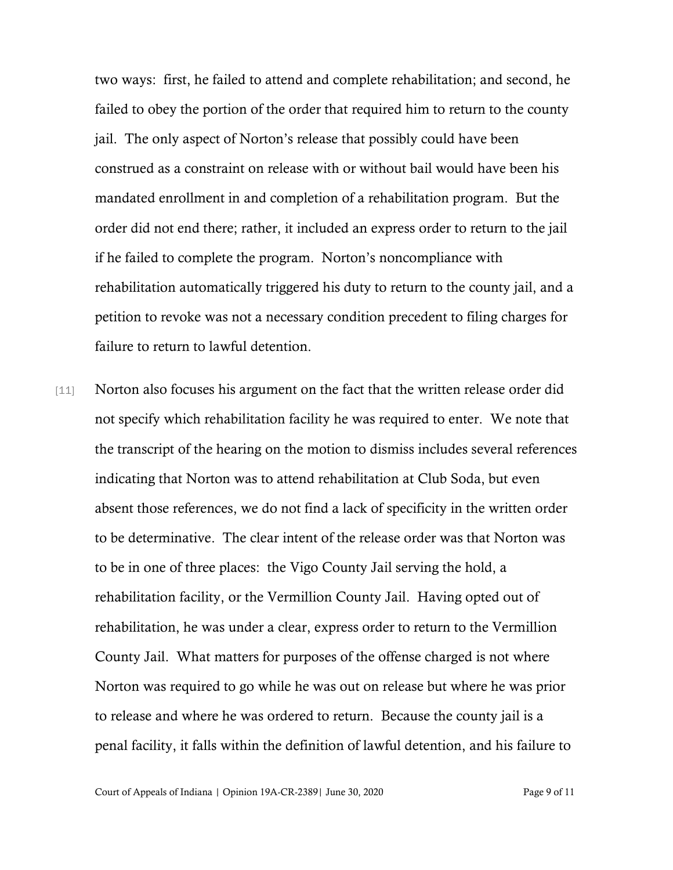two ways: first, he failed to attend and complete rehabilitation; and second, he failed to obey the portion of the order that required him to return to the county jail. The only aspect of Norton's release that possibly could have been construed as a constraint on release with or without bail would have been his mandated enrollment in and completion of a rehabilitation program. But the order did not end there; rather, it included an express order to return to the jail if he failed to complete the program. Norton's noncompliance with rehabilitation automatically triggered his duty to return to the county jail, and a petition to revoke was not a necessary condition precedent to filing charges for failure to return to lawful detention.

[11] Norton also focuses his argument on the fact that the written release order did not specify which rehabilitation facility he was required to enter. We note that the transcript of the hearing on the motion to dismiss includes several references indicating that Norton was to attend rehabilitation at Club Soda, but even absent those references, we do not find a lack of specificity in the written order to be determinative. The clear intent of the release order was that Norton was to be in one of three places: the Vigo County Jail serving the hold, a rehabilitation facility, or the Vermillion County Jail. Having opted out of rehabilitation, he was under a clear, express order to return to the Vermillion County Jail. What matters for purposes of the offense charged is not where Norton was required to go while he was out on release but where he was prior to release and where he was ordered to return. Because the county jail is a penal facility, it falls within the definition of lawful detention, and his failure to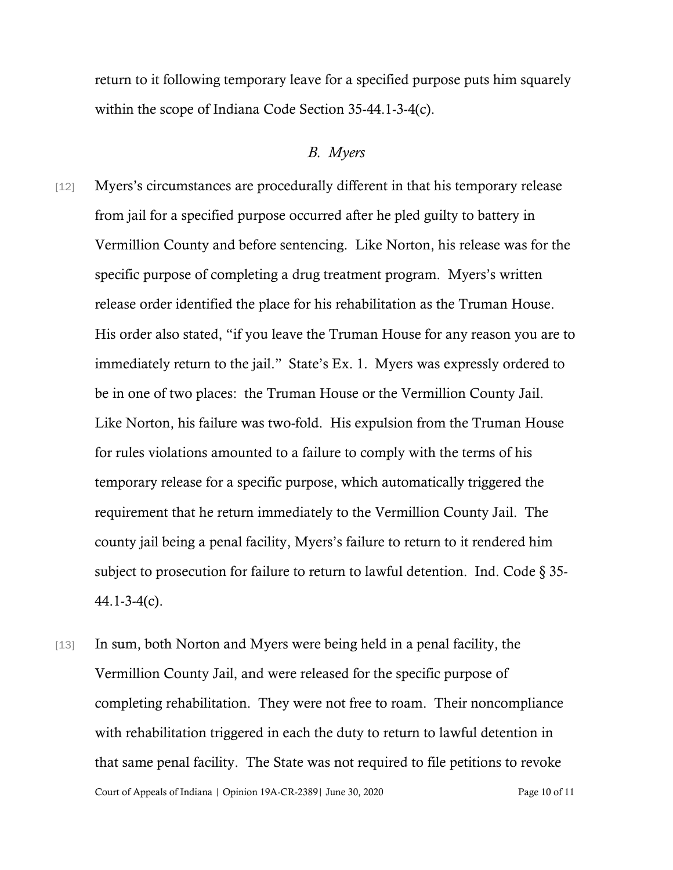return to it following temporary leave for a specified purpose puts him squarely within the scope of Indiana Code Section 35-44.1-3-4(c).

## *B. Myers*

- [12] Myers's circumstances are procedurally different in that his temporary release from jail for a specified purpose occurred after he pled guilty to battery in Vermillion County and before sentencing. Like Norton, his release was for the specific purpose of completing a drug treatment program. Myers's written release order identified the place for his rehabilitation as the Truman House. His order also stated, "if you leave the Truman House for any reason you are to immediately return to the jail."State's Ex. 1. Myers was expressly ordered to be in one of two places: the Truman House or the Vermillion County Jail. Like Norton, his failure was two-fold. His expulsion from the Truman House for rules violations amounted to a failure to comply with the terms of his temporary release for a specific purpose, which automatically triggered the requirement that he return immediately to the Vermillion County Jail. The county jail being a penal facility, Myers's failure to return to it rendered him subject to prosecution for failure to return to lawful detention. Ind. Code § 35- 44.1-3-4(c).
- Court of Appeals of Indiana | Opinion 19A-CR-2389| June 30, 2020 Page 10 of 11 [13] In sum, both Norton and Myers were being held in a penal facility, the Vermillion County Jail, and were released for the specific purpose of completing rehabilitation. They were not free to roam. Their noncompliance with rehabilitation triggered in each the duty to return to lawful detention in that same penal facility. The State was not required to file petitions to revoke